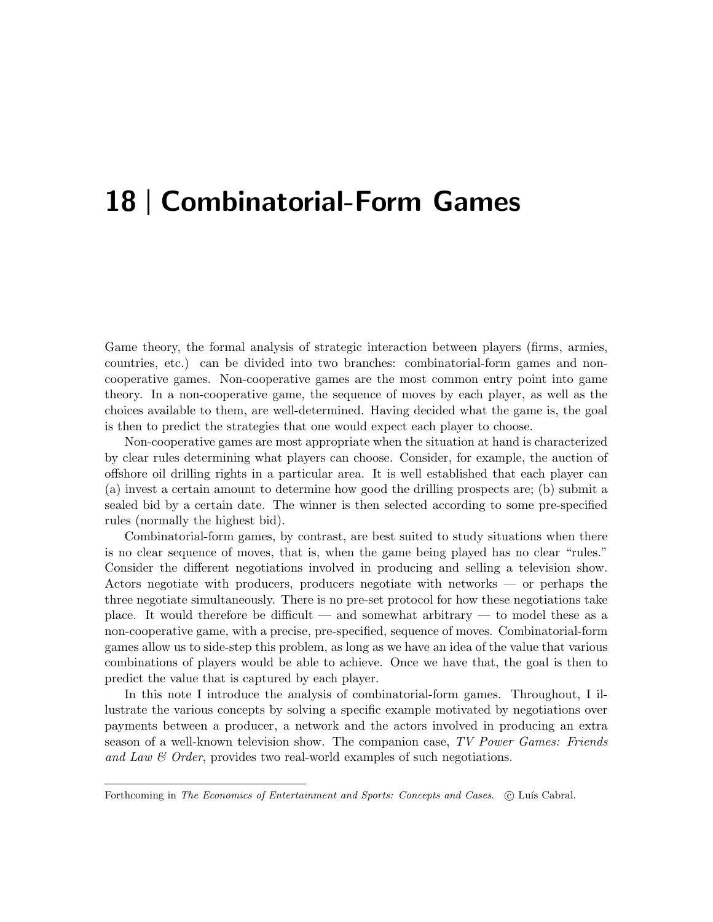# 18 | Combinatorial-Form Games

Game theory, the formal analysis of strategic interaction between players (firms, armies, countries, etc.) can be divided into two branches: combinatorial-form games and noncooperative games. Non-cooperative games are the most common entry point into game theory. In a non-cooperative game, the sequence of moves by each player, as well as the choices available to them, are well-determined. Having decided what the game is, the goal is then to predict the strategies that one would expect each player to choose.

Non-cooperative games are most appropriate when the situation at hand is characterized by clear rules determining what players can choose. Consider, for example, the auction of offshore oil drilling rights in a particular area. It is well established that each player can (a) invest a certain amount to determine how good the drilling prospects are; (b) submit a sealed bid by a certain date. The winner is then selected according to some pre-specified rules (normally the highest bid).

Combinatorial-form games, by contrast, are best suited to study situations when there is no clear sequence of moves, that is, when the game being played has no clear "rules." Consider the different negotiations involved in producing and selling a television show. Actors negotiate with producers, producers negotiate with networks — or perhaps the three negotiate simultaneously. There is no pre-set protocol for how these negotiations take place. It would therefore be difficult — and somewhat arbitrary — to model these as a non-cooperative game, with a precise, pre-specified, sequence of moves. Combinatorial-form games allow us to side-step this problem, as long as we have an idea of the value that various combinations of players would be able to achieve. Once we have that, the goal is then to predict the value that is captured by each player.

In this note I introduce the analysis of combinatorial-form games. Throughout, I illustrate the various concepts by solving a specific example motivated by negotiations over payments between a producer, a network and the actors involved in producing an extra season of a well-known television show. The companion case, TV Power Games: Friends and Law  $\mathcal{C}$  Order, provides two real-world examples of such negotiations.

Forthcoming in The Economics of Entertainment and Sports: Concepts and Cases. (C) Luís Cabral.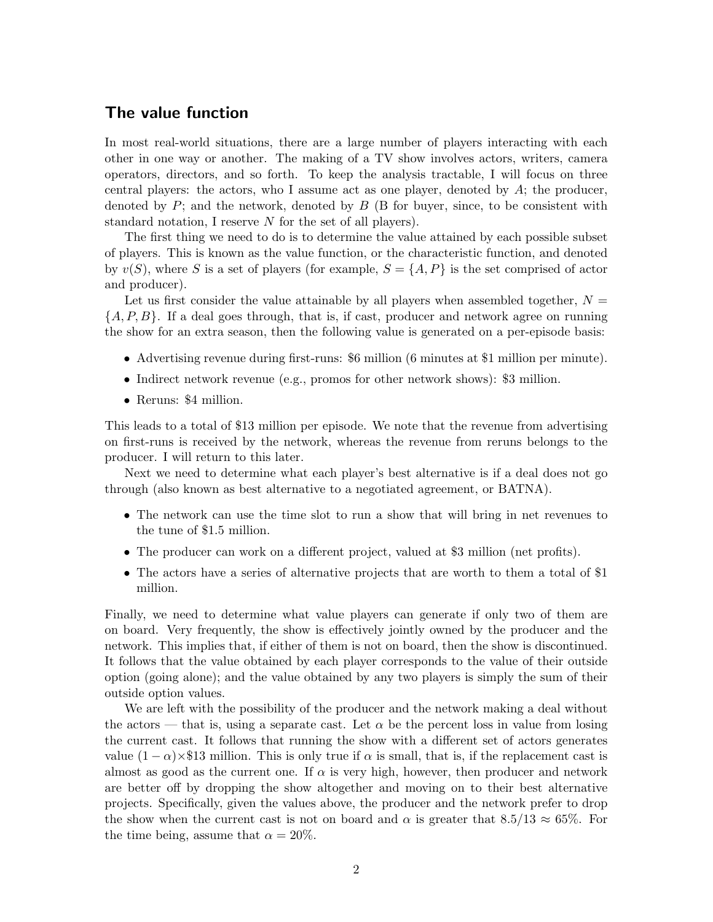## The value function

In most real-world situations, there are a large number of players interacting with each other in one way or another. The making of a TV show involves actors, writers, camera operators, directors, and so forth. To keep the analysis tractable, I will focus on three central players: the actors, who I assume act as one player, denoted by  $A$ ; the producer, denoted by  $P$ ; and the network, denoted by  $B$  (B for buyer, since, to be consistent with standard notation, I reserve N for the set of all players).

The first thing we need to do is to determine the value attained by each possible subset of players. This is known as the value function, or the characteristic function, and denoted by  $v(S)$ , where S is a set of players (for example,  $S = \{A, P\}$  is the set comprised of actor and producer).

Let us first consider the value attainable by all players when assembled together,  $N =$  $\{A, P, B\}$ . If a deal goes through, that is, if cast, producer and network agree on running the show for an extra season, then the following value is generated on a per-episode basis:

- Advertising revenue during first-runs: \$6 million (6 minutes at \$1 million per minute).
- Indirect network revenue (e.g., promos for other network shows): \$3 million.
- Reruns: \$4 million.

This leads to a total of \$13 million per episode. We note that the revenue from advertising on first-runs is received by the network, whereas the revenue from reruns belongs to the producer. I will return to this later.

Next we need to determine what each player's best alternative is if a deal does not go through (also known as best alternative to a negotiated agreement, or BATNA).

- The network can use the time slot to run a show that will bring in net revenues to the tune of \$1.5 million.
- The producer can work on a different project, valued at \$3 million (net profits).
- The actors have a series of alternative projects that are worth to them a total of \$1 million.

Finally, we need to determine what value players can generate if only two of them are on board. Very frequently, the show is effectively jointly owned by the producer and the network. This implies that, if either of them is not on board, then the show is discontinued. It follows that the value obtained by each player corresponds to the value of their outside option (going alone); and the value obtained by any two players is simply the sum of their outside option values.

We are left with the possibility of the producer and the network making a deal without the actors — that is, using a separate cast. Let  $\alpha$  be the percent loss in value from losing the current cast. It follows that running the show with a different set of actors generates value  $(1 - \alpha) \times 13$  million. This is only true if  $\alpha$  is small, that is, if the replacement cast is almost as good as the current one. If  $\alpha$  is very high, however, then producer and network are better off by dropping the show altogether and moving on to their best alternative projects. Specifically, given the values above, the producer and the network prefer to drop the show when the current cast is not on board and  $\alpha$  is greater that 8.5/13  $\approx$  65%. For the time being, assume that  $\alpha = 20\%$ .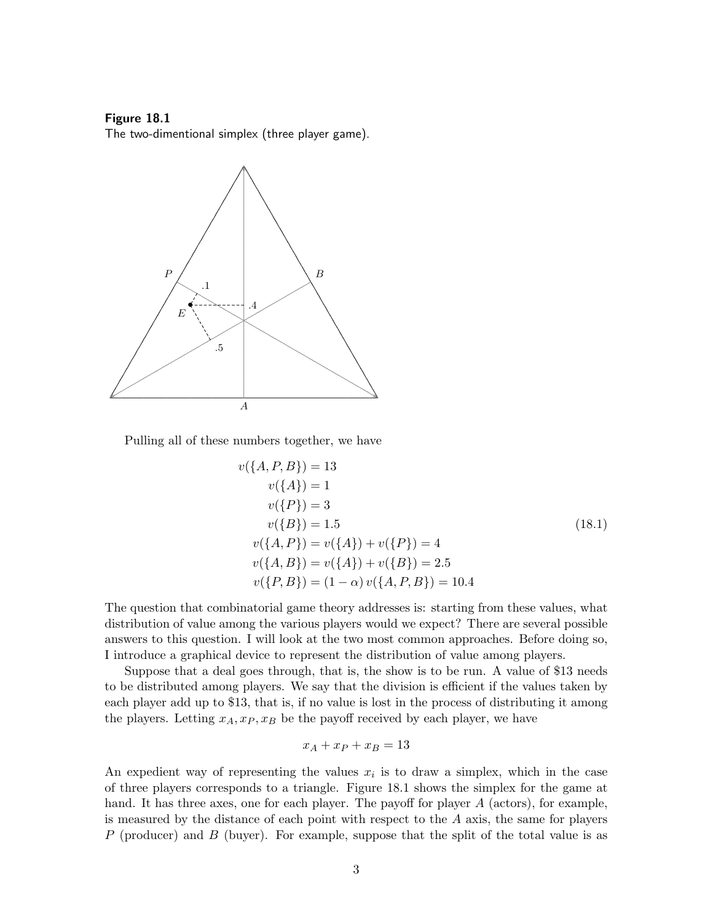The two-dimentional simplex (three player game).



Pulling all of these numbers together, we have

$$
v({A, P, B}) = 13
$$
  
\n
$$
v({A}) = 1
$$
  
\n
$$
v({P}) = 3
$$
  
\n
$$
v({B}) = 1.5
$$
  
\n
$$
v({A, P}) = v({A}) + v({P}) = 4
$$
  
\n
$$
v({A, B}) = v({A}) + v({B}) = 2.5
$$
  
\n
$$
v({P, B}) = (1 - \alpha) v({A, P, B}) = 10.4
$$
  
\n(18.1)

The question that combinatorial game theory addresses is: starting from these values, what distribution of value among the various players would we expect? There are several possible answers to this question. I will look at the two most common approaches. Before doing so, I introduce a graphical device to represent the distribution of value among players.

Suppose that a deal goes through, that is, the show is to be run. A value of \$13 needs to be distributed among players. We say that the division is efficient if the values taken by each player add up to \$13, that is, if no value is lost in the process of distributing it among the players. Letting  $x_A, x_P, x_B$  be the payoff received by each player, we have

$$
x_A + x_P + x_B = 13
$$

An expedient way of representing the values  $x_i$  is to draw a simplex, which in the case of three players corresponds to a triangle. Figure 18.1 shows the simplex for the game at hand. It has three axes, one for each player. The payoff for player  $A$  (actors), for example, is measured by the distance of each point with respect to the  $A$  axis, the same for players P (producer) and B (buyer). For example, suppose that the split of the total value is as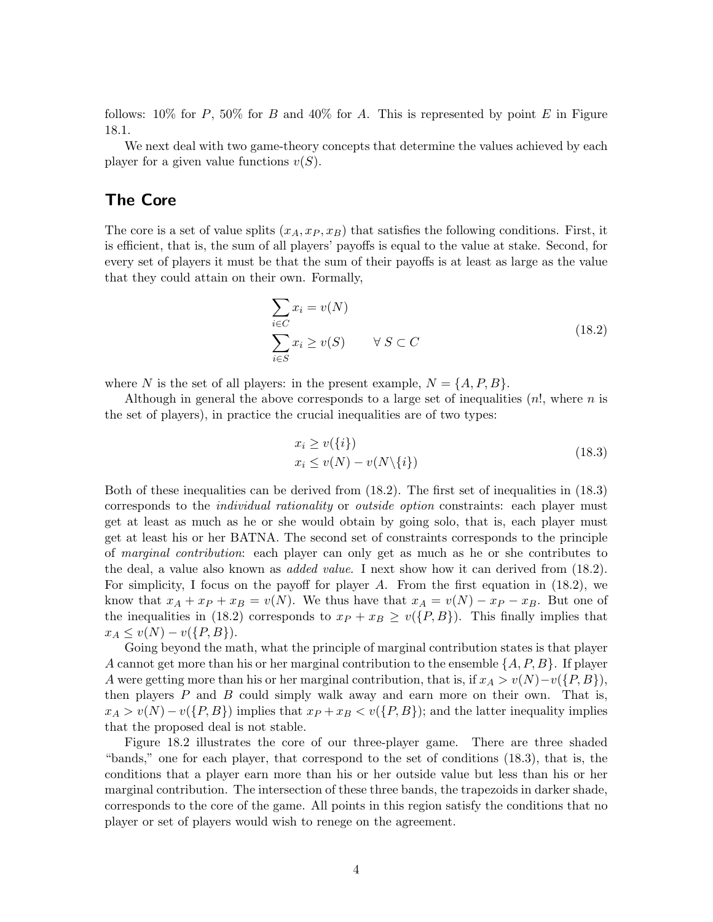follows:  $10\%$  for P,  $50\%$  for B and  $40\%$  for A. This is represented by point E in Figure 18.1.

We next deal with two game-theory concepts that determine the values achieved by each player for a given value functions  $v(S)$ .

## The Core

The core is a set of value splits  $(x_A, x_P, x_B)$  that satisfies the following conditions. First, it is efficient, that is, the sum of all players' payoffs is equal to the value at stake. Second, for every set of players it must be that the sum of their payoffs is at least as large as the value that they could attain on their own. Formally,

$$
\sum_{i \in C} x_i = v(N)
$$
\n
$$
\sum_{i \in S} x_i \ge v(S) \qquad \forall S \subset C
$$
\n(18.2)

where N is the set of all players: in the present example,  $N = \{A, P, B\}.$ 

Although in general the above corresponds to a large set of inequalities  $(n!)$ , where n is the set of players), in practice the crucial inequalities are of two types:

$$
x_i \ge v({i})
$$
  

$$
x_i \le v(N) - v(N\setminus\{i\})
$$
 (18.3)

Both of these inequalities can be derived from (18.2). The first set of inequalities in (18.3) corresponds to the individual rationality or outside option constraints: each player must get at least as much as he or she would obtain by going solo, that is, each player must get at least his or her BATNA. The second set of constraints corresponds to the principle of marginal contribution: each player can only get as much as he or she contributes to the deal, a value also known as *added value*. I next show how it can derived from  $(18.2)$ . For simplicity, I focus on the payoff for player A. From the first equation in (18.2), we know that  $x_A + x_P + x_B = v(N)$ . We thus have that  $x_A = v(N) - x_P - x_B$ . But one of the inequalities in (18.2) corresponds to  $x_P + x_B \ge v({P, B})$ . This finally implies that  $x_A \le v(N) - v({P, B}).$ 

Going beyond the math, what the principle of marginal contribution states is that player A cannot get more than his or her marginal contribution to the ensemble  $\{A, P, B\}$ . If player A were getting more than his or her marginal contribution, that is, if  $x_A > v(N)-v(\lbrace P, B \rbrace)$ , then players  $P$  and  $B$  could simply walk away and earn more on their own. That is,  $x_A > v(N) - v({P, B})$  implies that  $x_P + x_B < v({P, B})$ ; and the latter inequality implies that the proposed deal is not stable.

Figure 18.2 illustrates the core of our three-player game. There are three shaded "bands," one for each player, that correspond to the set of conditions (18.3), that is, the conditions that a player earn more than his or her outside value but less than his or her marginal contribution. The intersection of these three bands, the trapezoids in darker shade, corresponds to the core of the game. All points in this region satisfy the conditions that no player or set of players would wish to renege on the agreement.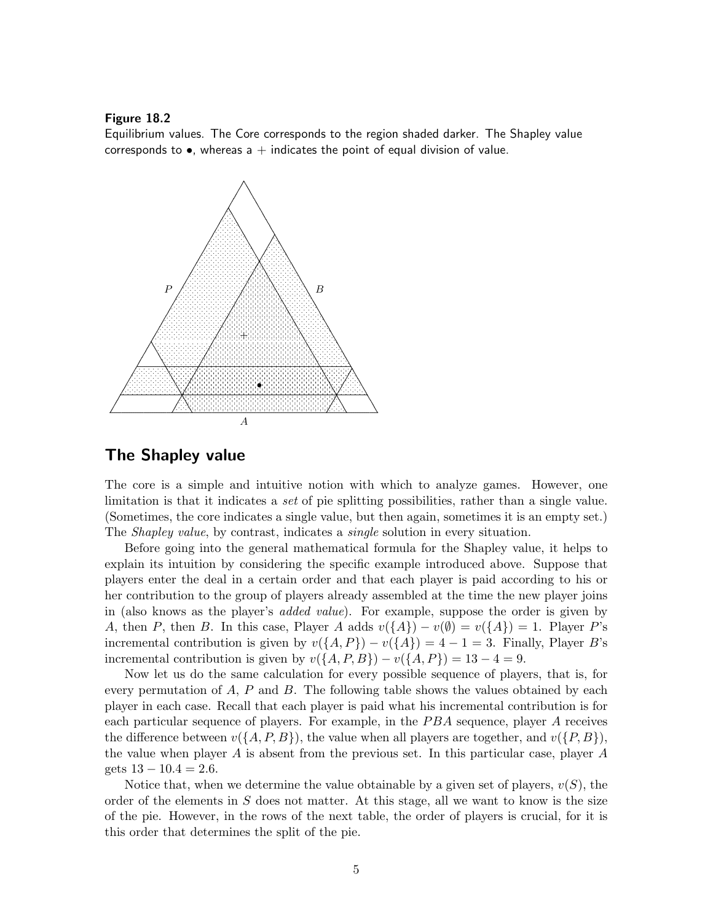Equilibrium values. The Core corresponds to the region shaded darker. The Shapley value corresponds to  $\bullet$ , whereas a  $+$  indicates the point of equal division of value.



### **The Shapley value**

The core is a simple and intuitive notion with which to analyze games. However, one limitation is that it indicates a set of pie splitting possibilities, rather than a single value. (Sometimes, the core indicates a single value, but then again, sometimes it is an empty set.) The *Shapley value*, by contrast, indicates a *single* solution in every situation.

Before going into the general mathematical formula for the Shapley value, it helps to explain its intuition by considering the specific example introduced above. Suppose that players enter the deal in a certain order and that each player is paid according to his or her contribution to the group of players already assembled at the time the new player joins in (also knows as the player's *added value*). For example, suppose the order is given by A, then P, then B. In this case, Player A adds  $v({A}) - v(\emptyset) = v({A}) = 1$ . Player P's incremental contribution is given by  $v({A, P}) - v({A}) = 4 - 1 = 3$ . Finally, Player B's incremental contribution is given by  $v({A, P, B}) - v({A, P}) = 13 - 4 = 9$ .

Now let us do the same calculation for every possible sequence of players, that is, for every permutation of  $A$ ,  $P$  and  $B$ . The following table shows the values obtained by each player in each case. Recall that each player is paid what his incremental contribution is for each particular sequence of players. For example, in the  $PBA$  sequence, player A receives the difference between  $v(\lbrace A, P, B \rbrace)$ , the value when all players are together, and  $v(\lbrace P, B \rbrace)$ , the value when player A is absent from the previous set. In this particular case, player  $A$ gets  $13 - 10.4 = 2.6$ .

Notice that, when we determine the value obtainable by a given set of players,  $v(S)$ , the order of the elements in  $S$  does not matter. At this stage, all we want to know is the size of the pie. However, in the rows of the next table, the order of players is crucial, for it is this order that determines the split of the pie.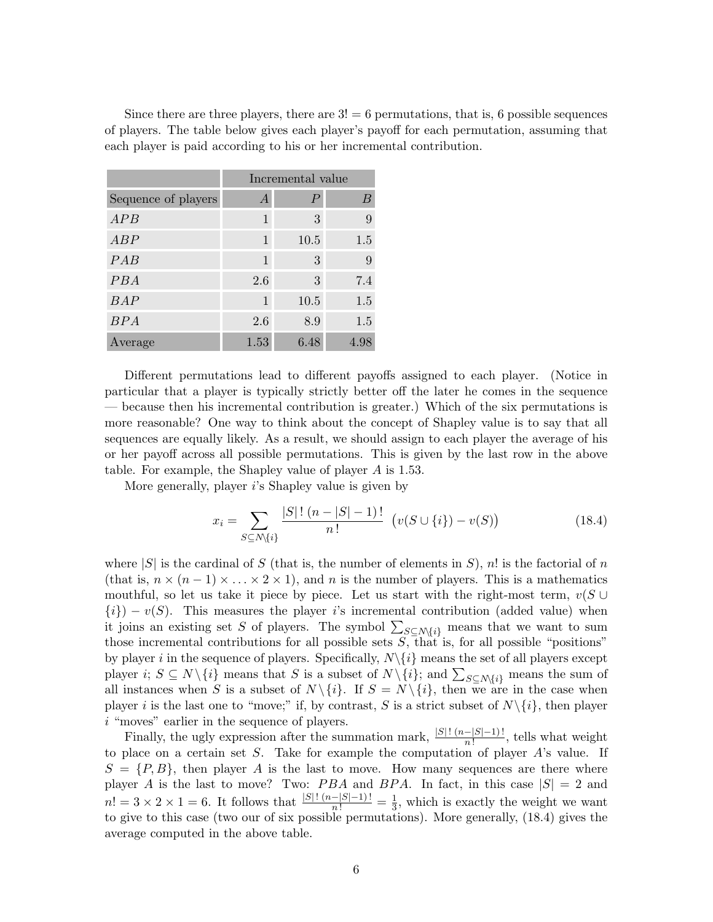Since there are three players, there are  $3! = 6$  permutations, that is, 6 possible sequences of players. The table below gives each player's payoff for each permutation, assuming that each player is paid according to his or her incremental contribution.

|                     | Incremental value |                |      |
|---------------------|-------------------|----------------|------|
| Sequence of players | А                 | $\overline{P}$ | B    |
| APB                 | 1                 | 3              | 9    |
| ABP                 | 1                 | 10.5           | 1.5  |
| PAB                 | 1                 | 3              | 9    |
| PBA                 | 2.6               | 3              | 7.4  |
| BAP                 | 1                 | 10.5           | 1.5  |
| BPA                 | 2.6               | 8.9            | 1.5  |
| Average             | 1.53              | 6.48           | 4.98 |

Different permutations lead to different payoffs assigned to each player. (Notice in particular that a player is typically strictly better off the later he comes in the sequence — because then his incremental contribution is greater.) Which of the six permutations is more reasonable? One way to think about the concept of Shapley value is to say that all sequences are equally likely. As a result, we should assign to each player the average of his or her payoff across all possible permutations. This is given by the last row in the above table. For example, the Shapley value of player A is 1.53.

More generally, player i's Shapley value is given by

$$
x_i = \sum_{S \subseteq N\{i\}} \frac{|S|! (n - |S| - 1)!}{n!} \left( v(S \cup \{i\}) - v(S) \right) \tag{18.4}
$$

where  $|S|$  is the cardinal of S (that is, the number of elements in S), n! is the factorial of n (that is,  $n \times (n-1) \times ... \times 2 \times 1$ ), and n is the number of players. This is a mathematics mouthful, so let us take it piece by piece. Let us start with the right-most term,  $v(S \cup$  $\{i\}$ ) –  $v(S)$ . This measures the player is incremental contribution (added value) when it joins an existing set S of players. The symbol  $\sum_{S \subseteq N\{i\}}$  means that we want to sum those incremental contributions for all possible sets  $S$ , that is, for all possible "positions" by player i in the sequence of players. Specifically,  $N\setminus\{i\}$  means the set of all players except player *i*;  $S \subseteq N \setminus \{i\}$  means that S is a subset of  $N \setminus \{i\}$ ; and  $\sum_{S \subseteq N \setminus \{i\}}$  means the sum of all instances when S is a subset of  $N \setminus \{i\}$ . If  $S = N \setminus \{i\}$ , then we are in the case when player i is the last one to "move;" if, by contrast, S is a strict subset of  $N\{i\}$ , then player i "moves" earlier in the sequence of players.

Finally, the ugly expression after the summation mark,  $\frac{|S|! (n-|S|-1)!}{n!}$ , tells what weight to place on a certain set  $S$ . Take for example the computation of player  $A$ 's value. If  $S = \{P, B\}$ , then player A is the last to move. How many sequences are there where player A is the last to move? Two: PBA and BPA. In fact, in this case  $|S| = 2$  and  $n! = 3 \times 2 \times 1 = 6.$  It follows that  $\frac{|S|! (n-|S|-1)!}{n!} = \frac{1}{3}$  $\frac{1}{3}$ , which is exactly the weight we want to give to this case (two our of six possible permutations). More generally, (18.4) gives the average computed in the above table.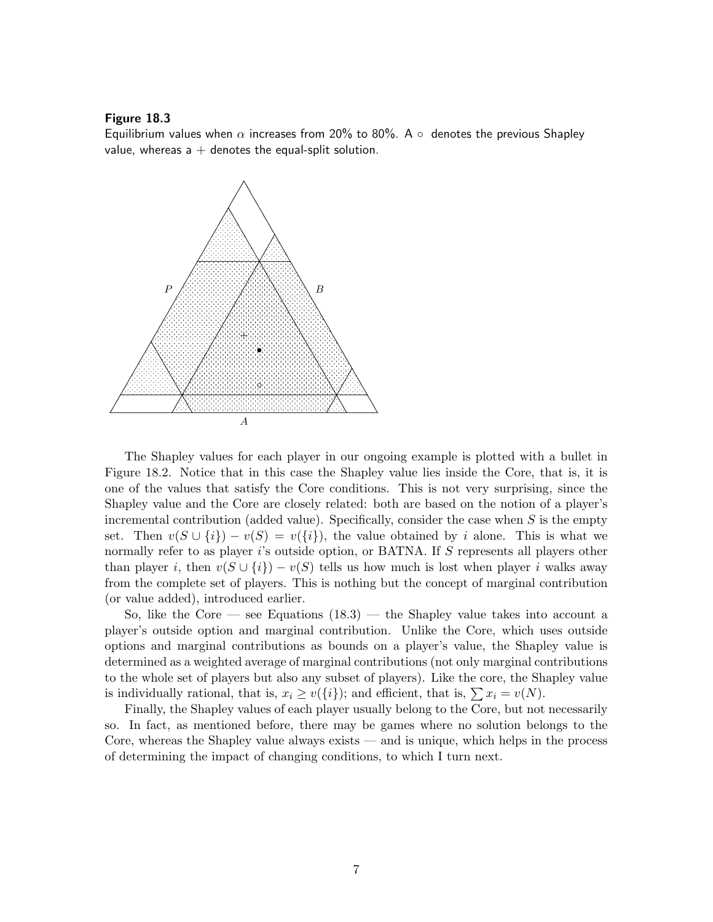Equilibrium values when  $\alpha$  increases from 20% to 80%. A  $\circ$  denotes the previous Shapley value, whereas  $a +$  denotes the equal-split solution.



The Shapley values for each player in our ongoing example is plotted with a bullet in Figure 18.2. Notice that in this case the Shapley value lies inside the Core, that is, it is one of the values that satisfy the Core conditions. This is not very surprising, since the Shapley value and the Core are closely related: both are based on the notion of a player's incremental contribution (added value). Specifically, consider the case when  $S$  is the empty set. Then  $v(S \cup \{i\}) - v(S) = v(\{i\})$ , the value obtained by i alone. This is what we normally refer to as player  $i$ 's outside option, or BATNA. If  $S$  represents all players other than player i, then  $v(S \cup \{i\}) - v(S)$  tells us how much is lost when player i walks away from the complete set of players. This is nothing but the concept of marginal contribution (or value added), introduced earlier.

So, like the Core — see Equations  $(18.3)$  — the Shapley value takes into account a player's outside option and marginal contribution. Unlike the Core, which uses outside options and marginal contributions as bounds on a player's value, the Shapley value is determined as a weighted average of marginal contributions (not only marginal contributions to the whole set of players but also any subset of players). Like the core, the Shapley value is individually rational, that is,  $x_i \geq v(\{i\})$ ; and efficient, that is,  $\sum x_i = v(N)$ .

Finally, the Shapley values of each player usually belong to the Core, but not necessarily so. In fact, as mentioned before, there may be games where no solution belongs to the Core, whereas the Shapley value always exists  $-$  and is unique, which helps in the process of determining the impact of changing conditions, to which I turn next.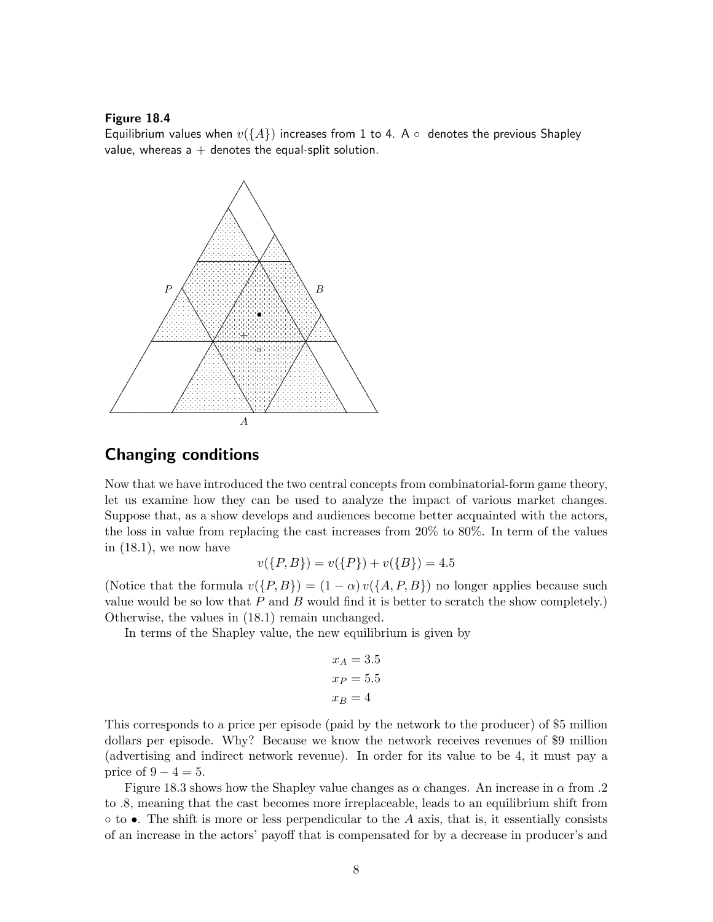Equilibrium values when  $v({A})$  increases from 1 to 4. A  $\circ$  denotes the previous Shapley value, whereas  $a +$  denotes the equal-split solution.



## **Changing conditions**

Now that we have introduced the two central concepts from combinatorial-form game theory, let us examine how they can be used to analyze the impact of various market changes. Suppose that, as a show develops and audiences become better acquainted with the actors, the loss in value from replacing the cast increases from  $20\%$  to  $80\%$ . In term of the values in  $(18.1)$ , we now have

$$
v(\{P, B\}) = v(\{P\}) + v(\{B\}) = 4.5
$$

(Notice that the formula  $v({P, B}) = (1 - \alpha) v({A, P, B})$  no longer applies because such value would be so low that  $P$  and  $B$  would find it is better to scratch the show completely.) Otherwise, the values in  $(18.1)$  remain unchanged.

In terms of the Shapley value, the new equilibrium is given by

$$
x_A = 3.5
$$

$$
x_P = 5.5
$$

$$
x_B = 4
$$

This corresponds to a price per episode (paid by the network to the producer) of \$5 million dollars per episode. Why? Because we know the network receives revenues of \$9 million (advertising and indirect network revenue). In order for its value to be 4, it must pay a price of  $9 - 4 = 5$ .

Figure 18.3 shows how the Shapley value changes as  $\alpha$  changes. An increase in  $\alpha$  from .2 to .8, meaning that the cast becomes more irreplaceable, leads to an equilibrium shift from  $\circ$  to  $\bullet$ . The shift is more or less perpendicular to the A axis, that is, it essentially consists of an increase in the actors' payoff that is compensated for by a decrease in producer's and